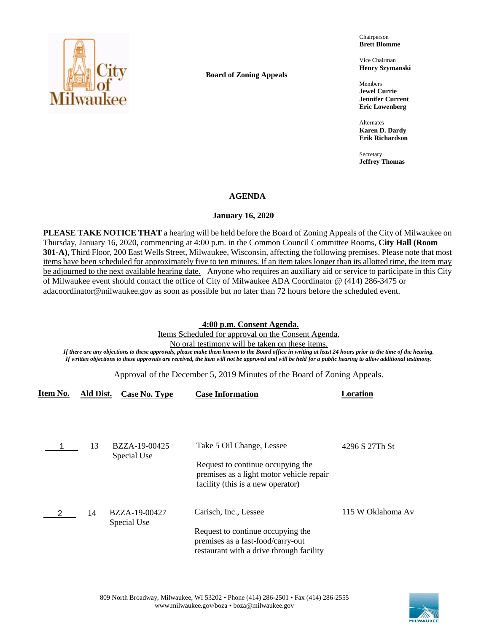

**Board of Zoning Appeals**

Chairperson **Brett Blomme**

Vice Chairman **Henry Szymanski**

Members **Jewel Currie Jennifer Current Eric Lowenberg**

Alternates **Karen D. Dardy Erik Richardson**

Secretary **Jeffrey Thomas**

# **AGENDA**

# **January 16, 2020**

**PLEASE TAKE NOTICE THAT** a hearing will be held before the Board of Zoning Appeals of the City of Milwaukee on Thursday, January 16, 2020, commencing at 4:00 p.m. in the Common Council Committee Rooms, **City Hall (Room 301-A)**, Third Floor, 200 East Wells Street, Milwaukee, Wisconsin, affecting the following premises. Please note that most items have been scheduled for approximately five to ten minutes. If an item takes longer than its allotted time, the item may be adjourned to the next available hearing date. Anyone who requires an auxiliary aid or service to participate in this City of Milwaukee event should contact the office of City of Milwaukee ADA Coordinator @ (414) 286-3475 or adacoordinator@milwaukee.gov as soon as possible but no later than 72 hours before the scheduled event.

# **4:00 p.m. Consent Agenda.**

Items Scheduled for approval on the Consent Agenda. No oral testimony will be taken on these items.

*If there are any objections to these approvals, please make them known to the Board office in writing at least 24 hours prior to the time of the hearing. If written objections to these approvals are received, the item will not be approved and will be held for a public hearing to allow additional testimony.*

Approval of the December 5, 2019 Minutes of the Board of Zoning Appeals.

| Item No. | Ald Dist. | Case No. Type                | <b>Case Information</b>                                                                                            | Location          |
|----------|-----------|------------------------------|--------------------------------------------------------------------------------------------------------------------|-------------------|
|          |           |                              |                                                                                                                    |                   |
|          | 13        | BZZA-19-00425<br>Special Use | Take 5 Oil Change, Lessee                                                                                          | 4296 S 27Th St    |
|          |           |                              | Request to continue occupying the<br>premises as a light motor vehicle repair<br>facility (this is a new operator) |                   |
|          | 14        | BZZA-19-00427<br>Special Use | Carisch, Inc., Lessee                                                                                              | 115 W Oklahoma Av |
|          |           |                              | Request to continue occupying the<br>premises as a fast-food/carry-out<br>restaurant with a drive through facility |                   |

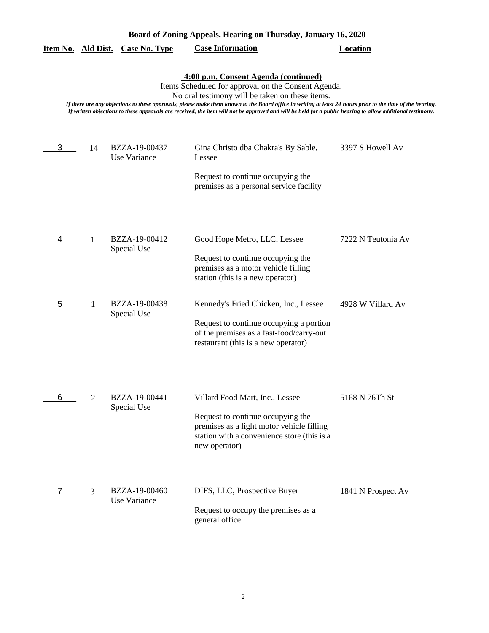| Board of Zoning Appeals, Hearing on Thursday, January 16, 2020 |                |                               |                                                                                                                                                                                                                                                                                                                                                                                                                                                                          |                    |
|----------------------------------------------------------------|----------------|-------------------------------|--------------------------------------------------------------------------------------------------------------------------------------------------------------------------------------------------------------------------------------------------------------------------------------------------------------------------------------------------------------------------------------------------------------------------------------------------------------------------|--------------------|
| Item No. Ald Dist.                                             |                | <b>Case No. Type</b>          | <b>Case Information</b>                                                                                                                                                                                                                                                                                                                                                                                                                                                  | <b>Location</b>    |
|                                                                |                |                               | 4:00 p.m. Consent Agenda (continued)<br>Items Scheduled for approval on the Consent Agenda.<br>No oral testimony will be taken on these items.<br>If there are any objections to these approvals, please make them known to the Board office in writing at least 24 hours prior to the time of the hearing.<br>If written objections to these approvals are received, the item will not be approved and will be held for a public hearing to allow additional testimony. |                    |
| 3                                                              | 14             | BZZA-19-00437<br>Use Variance | Gina Christo dba Chakra's By Sable,<br>Lessee<br>Request to continue occupying the<br>premises as a personal service facility                                                                                                                                                                                                                                                                                                                                            | 3397 S Howell Av   |
|                                                                | 1              | BZZA-19-00412<br>Special Use  | Good Hope Metro, LLC, Lessee<br>Request to continue occupying the<br>premises as a motor vehicle filling<br>station (this is a new operator)                                                                                                                                                                                                                                                                                                                             | 7222 N Teutonia Av |
| 5                                                              | 1              | BZZA-19-00438<br>Special Use  | Kennedy's Fried Chicken, Inc., Lessee<br>Request to continue occupying a portion<br>of the premises as a fast-food/carry-out<br>restaurant (this is a new operator)                                                                                                                                                                                                                                                                                                      | 4928 W Villard Av  |
| 6                                                              | $\overline{c}$ | BZZA-19-00441<br>Special Use  | Villard Food Mart, Inc., Lessee<br>Request to continue occupying the<br>premises as a light motor vehicle filling<br>station with a convenience store (this is a<br>new operator)                                                                                                                                                                                                                                                                                        | 5168 N 76Th St     |
|                                                                | 3              | BZZA-19-00460<br>Use Variance | DIFS, LLC, Prospective Buyer<br>Request to occupy the premises as a<br>general office                                                                                                                                                                                                                                                                                                                                                                                    | 1841 N Prospect Av |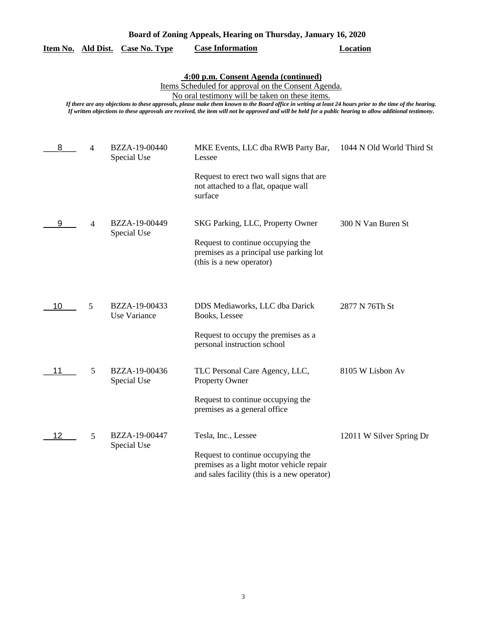|    |                | <u>Item No. Ald Dist. Case No. Type</u> | <b>Case Information</b>                                                                                                                                                                                                                                                                                                                                                                                                                                                  | <b>Location</b>           |
|----|----------------|-----------------------------------------|--------------------------------------------------------------------------------------------------------------------------------------------------------------------------------------------------------------------------------------------------------------------------------------------------------------------------------------------------------------------------------------------------------------------------------------------------------------------------|---------------------------|
|    |                |                                         | 4:00 p.m. Consent Agenda (continued)<br>Items Scheduled for approval on the Consent Agenda.<br>No oral testimony will be taken on these items.<br>If there are any objections to these approvals, please make them known to the Board office in writing at least 24 hours prior to the time of the hearing.<br>If written objections to these approvals are received, the item will not be approved and will be held for a public hearing to allow additional testimony. |                           |
| 8  | 4              | BZZA-19-00440<br>Special Use            | MKE Events, LLC dba RWB Party Bar,<br>Lessee<br>Request to erect two wall signs that are<br>not attached to a flat, opaque wall<br>surface                                                                                                                                                                                                                                                                                                                               | 1044 N Old World Third St |
| 9  | $\overline{4}$ | BZZA-19-00449<br>Special Use            | SKG Parking, LLC, Property Owner<br>Request to continue occupying the<br>premises as a principal use parking lot<br>(this is a new operator)                                                                                                                                                                                                                                                                                                                             | 300 N Van Buren St        |
| 10 | 5              | BZZA-19-00433<br>Use Variance           | DDS Mediaworks, LLC dba Darick<br>Books, Lessee<br>Request to occupy the premises as a<br>personal instruction school                                                                                                                                                                                                                                                                                                                                                    | 2877 N 76Th St            |
| 11 | 5              | BZZA-19-00436<br>Special Use            | TLC Personal Care Agency, LLC,<br>Property Owner<br>Request to continue occupying the<br>premises as a general office                                                                                                                                                                                                                                                                                                                                                    | 8105 W Lisbon Av          |
| 12 | 5              | BZZA-19-00447<br>Special Use            | Tesla, Inc., Lessee<br>Request to continue occupying the<br>premises as a light motor vehicle repair<br>and sales facility (this is a new operator)                                                                                                                                                                                                                                                                                                                      | 12011 W Silver Spring Dr  |

**Board of Zoning Appeals, Hearing on Thursday, January 16, 2020**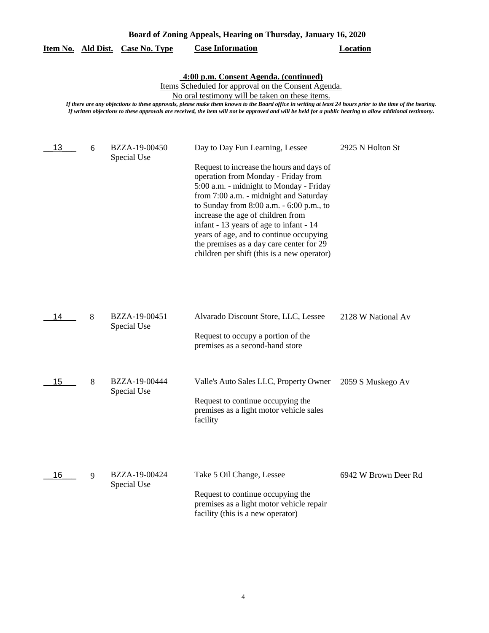| Board of Zoning Appeals, Hearing on Thursday, January 16, 2020 |   |                              |                                                                                                                                                                                                                                                                                                                                                                                                                                                                            |                      |
|----------------------------------------------------------------|---|------------------------------|----------------------------------------------------------------------------------------------------------------------------------------------------------------------------------------------------------------------------------------------------------------------------------------------------------------------------------------------------------------------------------------------------------------------------------------------------------------------------|----------------------|
| Item No. Ald Dist.                                             |   | <b>Case No. Type</b>         | <b>Case Information</b>                                                                                                                                                                                                                                                                                                                                                                                                                                                    | <b>Location</b>      |
|                                                                |   |                              | 4:00 p.m. Consent Agenda. (continued)<br>Items Scheduled for approval on the Consent Agenda.<br>No oral testimony will be taken on these items.<br>If there are any objections to these approvals, please make them known to the Board office in writing at least 24 hours prior to the time of the hearing.<br>If written objections to these approvals are received, the item will not be approved and will be held for a public hearing to allow additional testimony.  |                      |
| 13                                                             | 6 | BZZA-19-00450<br>Special Use | Day to Day Fun Learning, Lessee<br>Request to increase the hours and days of<br>operation from Monday - Friday from<br>5:00 a.m. - midnight to Monday - Friday<br>from 7:00 a.m. - midnight and Saturday<br>to Sunday from 8:00 a.m. - 6:00 p.m., to<br>increase the age of children from<br>infant - 13 years of age to infant - 14<br>years of age, and to continue occupying<br>the premises as a day care center for 29<br>children per shift (this is a new operator) | 2925 N Holton St     |
| 14                                                             | 8 | BZZA-19-00451<br>Special Use | Alvarado Discount Store, LLC, Lessee<br>Request to occupy a portion of the<br>premises as a second-hand store                                                                                                                                                                                                                                                                                                                                                              | 2128 W National Av   |
| 15                                                             | 8 | BZZA-19-00444<br>Special Use | Valle's Auto Sales LLC, Property Owner<br>Request to continue occupying the<br>premises as a light motor vehicle sales<br>facility                                                                                                                                                                                                                                                                                                                                         | 2059 S Muskego Av    |
| 16                                                             | 9 | BZZA-19-00424<br>Special Use | Take 5 Oil Change, Lessee<br>Request to continue occupying the<br>premises as a light motor vehicle repair<br>facility (this is a new operator)                                                                                                                                                                                                                                                                                                                            | 6942 W Brown Deer Rd |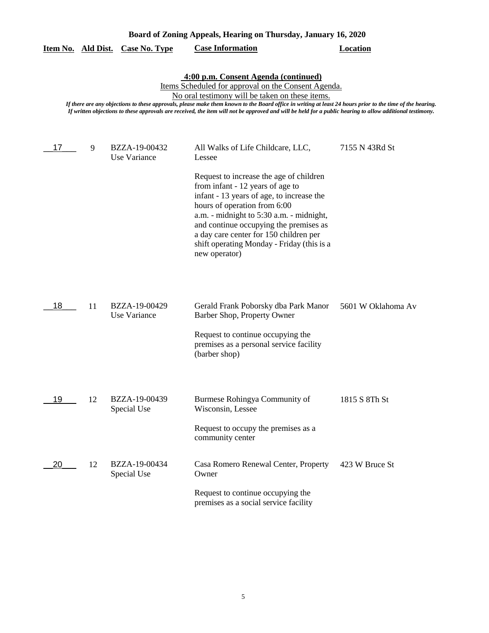| Board of Zoning Appeals, Hearing on Thursday, January 16, 2020 |    |                               |                                                                                                                                                                                                                                                                                                                                                                                                                                                                          |                    |
|----------------------------------------------------------------|----|-------------------------------|--------------------------------------------------------------------------------------------------------------------------------------------------------------------------------------------------------------------------------------------------------------------------------------------------------------------------------------------------------------------------------------------------------------------------------------------------------------------------|--------------------|
| Item No. Ald Dist.                                             |    | <b>Case No. Type</b>          | <b>Case Information</b>                                                                                                                                                                                                                                                                                                                                                                                                                                                  | <b>Location</b>    |
|                                                                |    |                               | 4:00 p.m. Consent Agenda (continued)<br>Items Scheduled for approval on the Consent Agenda.<br>No oral testimony will be taken on these items.<br>If there are any objections to these approvals, please make them known to the Board office in writing at least 24 hours prior to the time of the hearing.<br>If written objections to these approvals are received, the item will not be approved and will be held for a public hearing to allow additional testimony. |                    |
| 17                                                             | 9  | BZZA-19-00432<br>Use Variance | All Walks of Life Childcare, LLC,<br>Lessee                                                                                                                                                                                                                                                                                                                                                                                                                              | 7155 N 43Rd St     |
|                                                                |    |                               | Request to increase the age of children<br>from infant - 12 years of age to<br>infant - 13 years of age, to increase the<br>hours of operation from 6:00<br>a.m. - midnight to 5:30 a.m. - midnight,<br>and continue occupying the premises as<br>a day care center for 150 children per<br>shift operating Monday - Friday (this is a<br>new operator)                                                                                                                  |                    |
| 18                                                             | 11 | BZZA-19-00429<br>Use Variance | Gerald Frank Poborsky dba Park Manor<br>Barber Shop, Property Owner                                                                                                                                                                                                                                                                                                                                                                                                      | 5601 W Oklahoma Av |
|                                                                |    |                               | Request to continue occupying the<br>premises as a personal service facility<br>(barber shop)                                                                                                                                                                                                                                                                                                                                                                            |                    |
| 19                                                             | 12 | BZZA-19-00439<br>Special Use  | Burmese Rohingya Community of<br>Wisconsin, Lessee                                                                                                                                                                                                                                                                                                                                                                                                                       | 1815 S 8Th St      |
|                                                                |    |                               | Request to occupy the premises as a<br>community center                                                                                                                                                                                                                                                                                                                                                                                                                  |                    |
| 20                                                             | 12 | BZZA-19-00434<br>Special Use  | Casa Romero Renewal Center, Property<br>Owner                                                                                                                                                                                                                                                                                                                                                                                                                            | 423 W Bruce St     |
|                                                                |    |                               | Request to continue occupying the<br>premises as a social service facility                                                                                                                                                                                                                                                                                                                                                                                               |                    |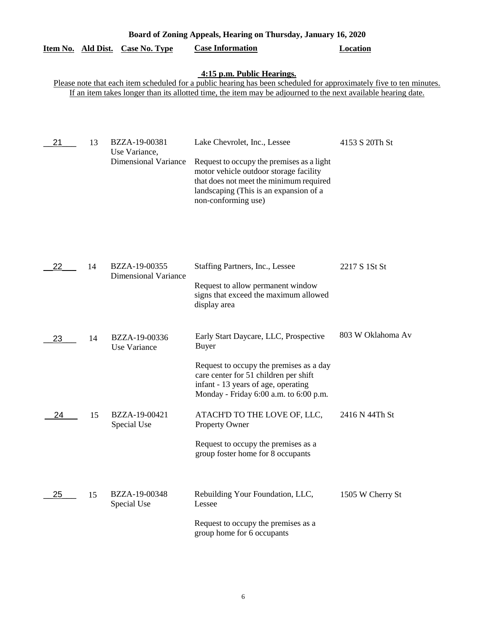| Board of Zoning Appeals, Hearing on Thursday, January 16, 2020 |    |                                                               |                                                                                                                                                                                                                                                                    |                   |  |
|----------------------------------------------------------------|----|---------------------------------------------------------------|--------------------------------------------------------------------------------------------------------------------------------------------------------------------------------------------------------------------------------------------------------------------|-------------------|--|
| Item No. Ald Dist.                                             |    | Case No. Type                                                 | <b>Case Information</b>                                                                                                                                                                                                                                            | <b>Location</b>   |  |
|                                                                |    |                                                               | 4:15 p.m. Public Hearings.<br>Please note that each item scheduled for a public hearing has been scheduled for approximately five to ten minutes.<br>If an item takes longer than its allotted time, the item may be adjourned to the next available hearing date. |                   |  |
| 21                                                             | 13 | BZZA-19-00381<br>Use Variance,<br><b>Dimensional Variance</b> | Lake Chevrolet, Inc., Lessee<br>Request to occupy the premises as a light<br>motor vehicle outdoor storage facility<br>that does not meet the minimum required<br>landscaping (This is an expansion of a<br>non-conforming use)                                    | 4153 S 20Th St    |  |
| 22                                                             | 14 | BZZA-19-00355<br><b>Dimensional Variance</b>                  | Staffing Partners, Inc., Lessee<br>Request to allow permanent window<br>signs that exceed the maximum allowed<br>display area                                                                                                                                      | 2217 S 1St St     |  |
| 23                                                             | 14 | BZZA-19-00336<br>Use Variance                                 | Early Start Daycare, LLC, Prospective<br><b>Buyer</b><br>Request to occupy the premises as a day<br>care center for 51 children per shift                                                                                                                          | 803 W Oklahoma Av |  |
| 24                                                             | 15 | BZZA-19-00421<br>Special Use                                  | infant - 13 years of age, operating<br>Monday - Friday 6:00 a.m. to 6:00 p.m.<br>ATACH'D TO THE LOVE OF, LLC,<br>Property Owner<br>Request to occupy the premises as a<br>group foster home for 8 occupants                                                        | 2416 N 44Th St    |  |
| 25                                                             | 15 | BZZA-19-00348<br>Special Use                                  | Rebuilding Your Foundation, LLC,<br>Lessee<br>Request to occupy the premises as a<br>group home for 6 occupants                                                                                                                                                    | 1505 W Cherry St  |  |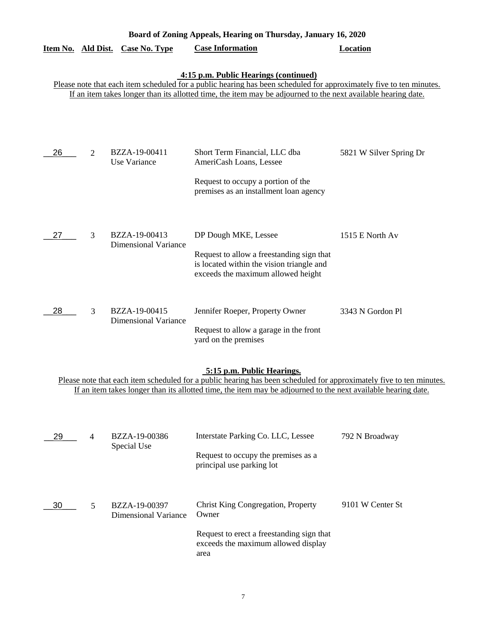|                    |   |                                              | Board of Zoning Appeals, Hearing on Thursday, January 16, 2020                                                                                                                                                                                                                |                         |
|--------------------|---|----------------------------------------------|-------------------------------------------------------------------------------------------------------------------------------------------------------------------------------------------------------------------------------------------------------------------------------|-------------------------|
| Item No. Ald Dist. |   | <b>Case No. Type</b>                         | <b>Case Information</b>                                                                                                                                                                                                                                                       | <b>Location</b>         |
|                    |   |                                              | 4:15 p.m. Public Hearings (continued)<br>Please note that each item scheduled for a public hearing has been scheduled for approximately five to ten minutes.<br>If an item takes longer than its allotted time, the item may be adjourned to the next available hearing date. |                         |
| 26                 | 2 | BZZA-19-00411                                | Short Term Financial, LLC dba                                                                                                                                                                                                                                                 | 5821 W Silver Spring Dr |
|                    |   | Use Variance                                 | AmeriCash Loans, Lessee<br>Request to occupy a portion of the<br>premises as an installment loan agency                                                                                                                                                                       |                         |
| 27                 | 3 | BZZA-19-00413<br><b>Dimensional Variance</b> | DP Dough MKE, Lessee<br>Request to allow a freestanding sign that<br>is located within the vision triangle and<br>exceeds the maximum allowed height                                                                                                                          | 1515 E North Av         |
| 28                 | 3 | BZZA-19-00415<br><b>Dimensional Variance</b> | Jennifer Roeper, Property Owner<br>Request to allow a garage in the front<br>yard on the premises                                                                                                                                                                             | 3343 N Gordon Pl        |
|                    |   |                                              | 5:15 p.m. Public Hearings.<br>Please note that each item scheduled for a public hearing has been scheduled for approximately five to ten minutes.<br>If an item takes longer than its allotted time, the item may be adjourned to the next available hearing date.            |                         |
| 29                 | 4 | BZZA-19-00386<br>Special Use                 | Interstate Parking Co. LLC, Lessee<br>Request to occupy the premises as a<br>principal use parking lot                                                                                                                                                                        | 792 N Broadway          |
| 30                 | 5 | BZZA-19-00397<br><b>Dimensional Variance</b> | <b>Christ King Congregation, Property</b><br>Owner<br>Request to erect a freestanding sign that<br>exceeds the maximum allowed display                                                                                                                                        | 9101 W Center St        |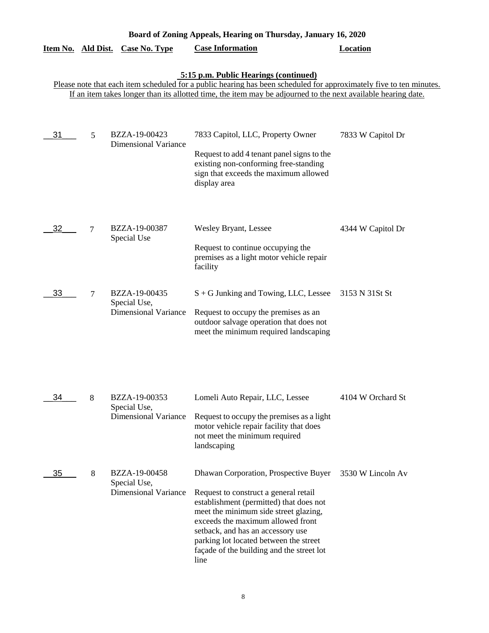| Board of Zoning Appeals, Hearing on Thursday, January 16, 2020 |                |                                                              |                                                                                                                                                                                                                                                                                                                                             |                   |  |
|----------------------------------------------------------------|----------------|--------------------------------------------------------------|---------------------------------------------------------------------------------------------------------------------------------------------------------------------------------------------------------------------------------------------------------------------------------------------------------------------------------------------|-------------------|--|
| Item No. Ald Dist.                                             |                | <b>Case No. Type</b>                                         | <b>Case Information</b>                                                                                                                                                                                                                                                                                                                     | <b>Location</b>   |  |
|                                                                |                |                                                              | 5:15 p.m. Public Hearings (continued)<br>Please note that each item scheduled for a public hearing has been scheduled for approximately five to ten minutes.<br>If an item takes longer than its allotted time, the item may be adjourned to the next available hearing date.                                                               |                   |  |
|                                                                |                |                                                              |                                                                                                                                                                                                                                                                                                                                             |                   |  |
| 31                                                             | 5              | BZZA-19-00423<br><b>Dimensional Variance</b>                 | 7833 Capitol, LLC, Property Owner<br>Request to add 4 tenant panel signs to the<br>existing non-conforming free-standing<br>sign that exceeds the maximum allowed<br>display area                                                                                                                                                           | 7833 W Capitol Dr |  |
| 32                                                             | $\overline{7}$ | BZZA-19-00387<br>Special Use                                 | <b>Wesley Bryant, Lessee</b><br>Request to continue occupying the<br>premises as a light motor vehicle repair<br>facility                                                                                                                                                                                                                   | 4344 W Capitol Dr |  |
| 33                                                             | 7              | BZZA-19-00435<br>Special Use,<br><b>Dimensional Variance</b> | S + G Junking and Towing, LLC, Lessee<br>Request to occupy the premises as an<br>outdoor salvage operation that does not<br>meet the minimum required landscaping                                                                                                                                                                           | 3153 N 31St St    |  |
| 34                                                             | 8              | BZZA-19-00353<br>Special Use,<br><b>Dimensional Variance</b> | Lomeli Auto Repair, LLC, Lessee<br>Request to occupy the premises as a light<br>motor vehicle repair facility that does<br>not meet the minimum required<br>landscaping                                                                                                                                                                     | 4104 W Orchard St |  |
| 35                                                             | 8              | BZZA-19-00458<br>Special Use,<br><b>Dimensional Variance</b> | Dhawan Corporation, Prospective Buyer<br>Request to construct a general retail<br>establishment (permitted) that does not<br>meet the minimum side street glazing,<br>exceeds the maximum allowed front<br>setback, and has an accessory use<br>parking lot located between the street<br>façade of the building and the street lot<br>line | 3530 W Lincoln Av |  |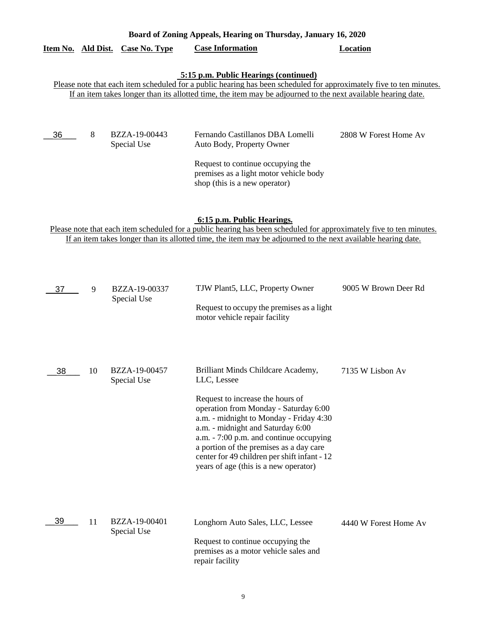### **Board of Zoning Appeals, Hearing on Thursday, January 16, 2020**

# **Item No. Ald Dist. Case No. Type Case Information Location**

# **5:15 p.m. Public Hearings (continued)**

Please note that each item scheduled for a public hearing has been scheduled for approximately five to ten minutes. If an item takes longer than its allotted time, the item may be adjourned to the next available hearing date.

 $-36$ 

| 6__ | 8 | BZZA-19-00443<br>Special Use | Fernando Castillanos DBA Lomelli<br>Auto Body, Property Owner                                                | 2808 W Forest Home Av |
|-----|---|------------------------------|--------------------------------------------------------------------------------------------------------------|-----------------------|
|     |   |                              | Request to continue occupying the<br>premises as a light motor vehicle body<br>shop (this is a new operator) |                       |

**6:15 p.m. Public Hearings.**

Please note that each item scheduled for a public hearing has been scheduled for approximately five to ten minutes. If an item takes longer than its allotted time, the item may be adjourned to the next available hearing date.

| 37 | 9  | BZZA-19-00337<br>Special Use | TJW Plant5, LLC, Property Owner<br>Request to occupy the premises as a light<br>motor vehicle repair facility                                                                                                                                                                                                                                                                                 | 9005 W Brown Deer Rd  |
|----|----|------------------------------|-----------------------------------------------------------------------------------------------------------------------------------------------------------------------------------------------------------------------------------------------------------------------------------------------------------------------------------------------------------------------------------------------|-----------------------|
| 38 | 10 | BZZA-19-00457<br>Special Use | Brilliant Minds Childcare Academy,<br>LLC, Lessee<br>Request to increase the hours of<br>operation from Monday - Saturday 6:00<br>a.m. - midnight to Monday - Friday 4:30<br>a.m. - midnight and Saturday 6:00<br>a.m. - 7:00 p.m. and continue occupying<br>a portion of the premises as a day care<br>center for 49 children per shift infant - 12<br>years of age (this is a new operator) | 7135 W Lisbon Av      |
| 39 | 11 | BZZA-19-00401<br>Special Use | Longhorn Auto Sales, LLC, Lessee<br>Request to continue occupying the<br>premises as a motor vehicle sales and<br>repair facility                                                                                                                                                                                                                                                             | 4440 W Forest Home Av |